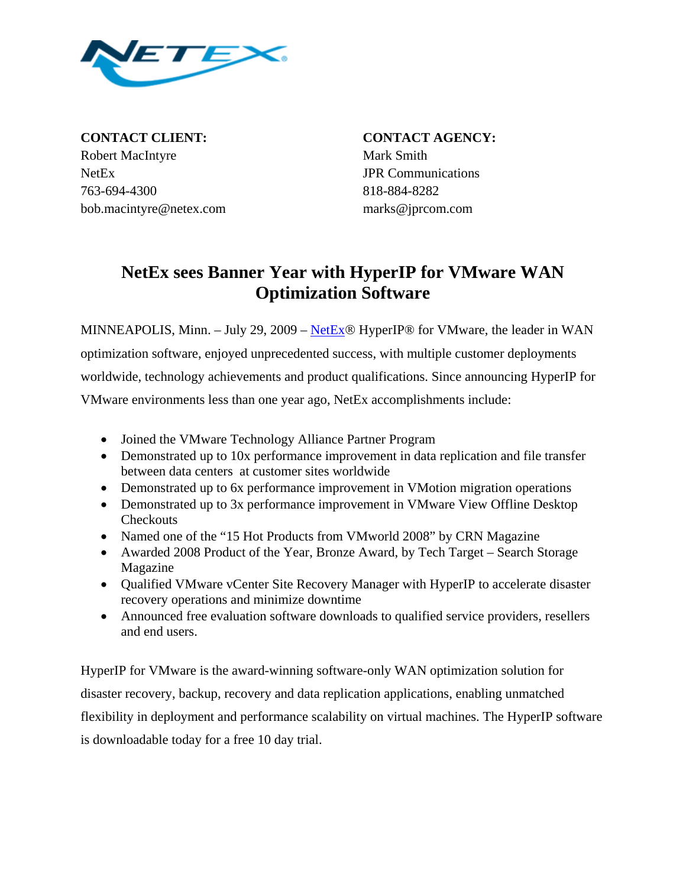

**CONTACT CLIENT: CONTACT AGENCY:** Robert MacIntyre Mark Smith NetEx JPR Communications 763-694-4300 818-884-8282 bob.macintyre@netex.com marks@jprcom.com

## **NetEx sees Banner Year with HyperIP for VMware WAN Optimization Software**

MINNEAPOLIS, Minn. – July 29, 2009 – [NetEx](http://www.netex.com/)® HyperIP® for VMware, the leader in WAN optimization software, enjoyed unprecedented success, with multiple customer deployments worldwide, technology achievements and product qualifications. Since announcing HyperIP for VMware environments less than one year ago, NetEx accomplishments include:

- Joined the VMware Technology Alliance Partner Program
- Demonstrated up to 10x performance improvement in data replication and file transfer between data centers at customer sites worldwide
- Demonstrated up to 6x performance improvement in VMotion migration operations
- Demonstrated up to 3x performance improvement in VMware View Offline Desktop **Checkouts**
- Named one of the "15 Hot Products from VMworld 2008" by CRN Magazine
- Awarded 2008 Product of the Year, Bronze Award, by Tech Target Search Storage Magazine
- Qualified VMware vCenter Site Recovery Manager with HyperIP to accelerate disaster recovery operations and minimize downtime
- Announced free evaluation software downloads to qualified service providers, resellers and end users.

HyperIP for VMware is the award-winning software-only WAN optimization solution for disaster recovery, backup, recovery and data replication applications, enabling unmatched flexibility in deployment and performance scalability on virtual machines. The HyperIP software is downloadable today for a free 10 day trial.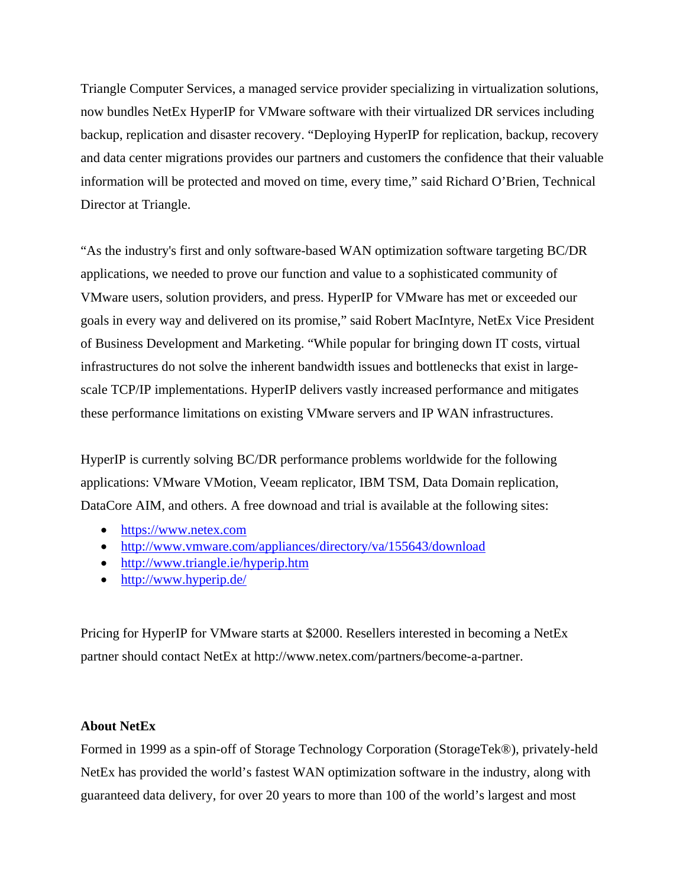Triangle Computer Services, a managed service provider specializing in virtualization solutions, now bundles NetEx HyperIP for VMware software with their virtualized DR services including backup, replication and disaster recovery. "Deploying HyperIP for replication, backup, recovery and data center migrations provides our partners and customers the confidence that their valuable information will be protected and moved on time, every time," said Richard O'Brien, Technical Director at Triangle.

"As the industry's first and only software-based WAN optimization software targeting BC/DR applications, we needed to prove our function and value to a sophisticated community of VMware users, solution providers, and press. HyperIP for VMware has met or exceeded our goals in every way and delivered on its promise," said Robert MacIntyre, NetEx Vice President of Business Development and Marketing. "While popular for bringing down IT costs, virtual infrastructures do not solve the inherent bandwidth issues and bottlenecks that exist in largescale TCP/IP implementations. HyperIP delivers vastly increased performance and mitigates these performance limitations on existing VMware servers and IP WAN infrastructures.

HyperIP is currently solving BC/DR performance problems worldwide for the following applications: VMware VMotion, Veeam replicator, IBM TSM, Data Domain replication, DataCore AIM, and others. A free downoad and trial is available at the following sites:

- [https://www.netex.com](https://www.hyperip.com/)
- <http://www.vmware.com/appliances/directory/va/155643/download>
- <http://www.triangle.ie/hyperip.htm>
- <http://www.hyperip.de/>

Pricing for HyperIP for VMware starts at \$2000. Resellers interested in becoming a NetEx partner should contact NetEx at http://www.netex.com/partners/become-a-partner.

## **About NetEx**

Formed in 1999 as a spin-off of Storage Technology Corporation (StorageTek®), privately-held NetEx has provided the world's fastest WAN optimization software in the industry, along with guaranteed data delivery, for over 20 years to more than 100 of the world's largest and most